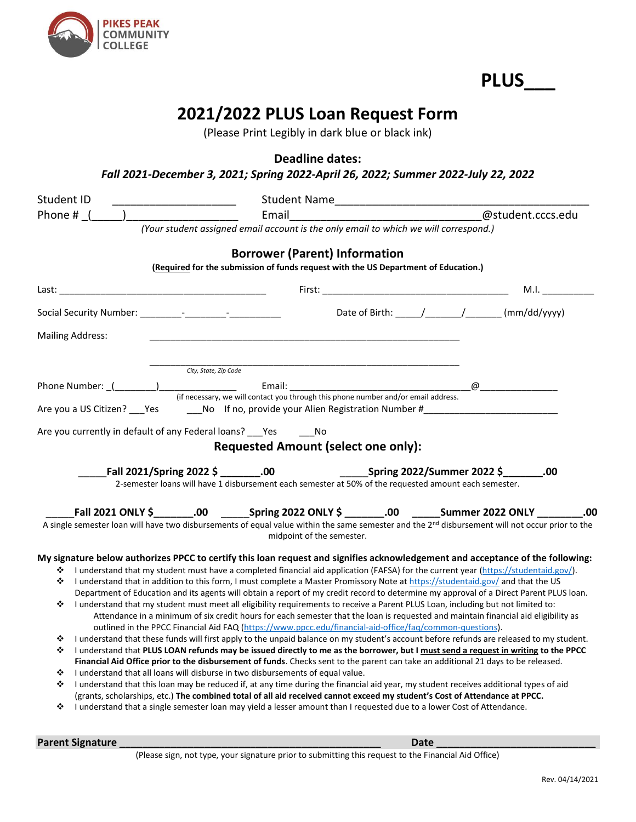

**PLUS\_\_\_**

## **2021/2022 PLUS Loan Request Form**

(Please Print Legibly in dark blue or black ink)

**Deadline dates:**

*Fall 2021-December 3, 2021; Spring 2022-April 26, 2022; Summer 2022-July 22, 2022*

| Student ID                                                                                                                                                                                                                                                | Student Name                                                                                                                                                                                                                                                              |                       |
|-----------------------------------------------------------------------------------------------------------------------------------------------------------------------------------------------------------------------------------------------------------|---------------------------------------------------------------------------------------------------------------------------------------------------------------------------------------------------------------------------------------------------------------------------|-----------------------|
| Phone # (                                                                                                                                                                                                                                                 | Email                                                                                                                                                                                                                                                                     | @student.cccs.edu     |
|                                                                                                                                                                                                                                                           | (Your student assigned email account is the only email to which we will correspond.)                                                                                                                                                                                      |                       |
|                                                                                                                                                                                                                                                           | <b>Borrower (Parent) Information</b>                                                                                                                                                                                                                                      |                       |
|                                                                                                                                                                                                                                                           | (Required for the submission of funds request with the US Department of Education.)                                                                                                                                                                                       |                       |
|                                                                                                                                                                                                                                                           |                                                                                                                                                                                                                                                                           |                       |
| Last:                                                                                                                                                                                                                                                     | <u> 1980 - Johann Barn, mars eta bainar eta bainar eta baina eta baina eta baina eta baina eta baina eta baina e</u>                                                                                                                                                      | M.I.                  |
|                                                                                                                                                                                                                                                           |                                                                                                                                                                                                                                                                           |                       |
| <b>Mailing Address:</b>                                                                                                                                                                                                                                   |                                                                                                                                                                                                                                                                           |                       |
|                                                                                                                                                                                                                                                           |                                                                                                                                                                                                                                                                           |                       |
|                                                                                                                                                                                                                                                           | City, State, Zip Code                                                                                                                                                                                                                                                     |                       |
|                                                                                                                                                                                                                                                           | Email: Email: All and the state of the state of the state of the state of the state of the state of the state of the state of the state of the state of the state of the state of the state of the state of the state of the s                                            | $\varpi$ and $\varpi$ |
|                                                                                                                                                                                                                                                           | (if necessary, we will contact you through this phone number and/or email address.                                                                                                                                                                                        |                       |
|                                                                                                                                                                                                                                                           |                                                                                                                                                                                                                                                                           |                       |
|                                                                                                                                                                                                                                                           | Are you currently in default of any Federal loans? ___ Yes ___ ___ No                                                                                                                                                                                                     |                       |
|                                                                                                                                                                                                                                                           | <b>Requested Amount (select one only):</b>                                                                                                                                                                                                                                |                       |
|                                                                                                                                                                                                                                                           |                                                                                                                                                                                                                                                                           |                       |
| Fall 2021/Spring 2022 \$ .00<br>2-semester loans will have 1 disbursement each semester at 50% of the requested amount each semester.                                                                                                                     |                                                                                                                                                                                                                                                                           |                       |
|                                                                                                                                                                                                                                                           |                                                                                                                                                                                                                                                                           |                       |
|                                                                                                                                                                                                                                                           | Fall 2021 ONLY \$________.00 _________Spring 2022 ONLY \$ ________.00 _______Summer 2022 ONLY ________                                                                                                                                                                    | .00                   |
| A single semester loan will have two disbursements of equal value within the same semester and the 2 <sup>nd</sup> disbursement will not occur prior to the                                                                                               |                                                                                                                                                                                                                                                                           |                       |
|                                                                                                                                                                                                                                                           | midpoint of the semester.                                                                                                                                                                                                                                                 |                       |
|                                                                                                                                                                                                                                                           | My signature below authorizes PPCC to certify this loan request and signifies acknowledgement and acceptance of the following:                                                                                                                                            |                       |
| ❖                                                                                                                                                                                                                                                         | I understand that my student must have a completed financial aid application (FAFSA) for the current year (https://studentaid.gov/).                                                                                                                                      |                       |
| ❖                                                                                                                                                                                                                                                         | I understand that in addition to this form, I must complete a Master Promissory Note at https://studentaid.gov/ and that the US<br>Department of Education and its agents will obtain a report of my credit record to determine my approval of a Direct Parent PLUS loan. |                       |
| ❖                                                                                                                                                                                                                                                         | I understand that my student must meet all eligibility requirements to receive a Parent PLUS Loan, including but not limited to:                                                                                                                                          |                       |
|                                                                                                                                                                                                                                                           | Attendance in a minimum of six credit hours for each semester that the loan is requested and maintain financial aid eligibility as                                                                                                                                        |                       |
|                                                                                                                                                                                                                                                           | outlined in the PPCC Financial Aid FAQ (https://www.ppcc.edu/financial-aid-office/faq/common-questions).                                                                                                                                                                  |                       |
| ❖                                                                                                                                                                                                                                                         | I understand that these funds will first apply to the unpaid balance on my student's account before refunds are released to my student.                                                                                                                                   |                       |
| ❖                                                                                                                                                                                                                                                         | I understand that PLUS LOAN refunds may be issued directly to me as the borrower, but I must send a request in writing to the PPCC                                                                                                                                        |                       |
|                                                                                                                                                                                                                                                           | Financial Aid Office prior to the disbursement of funds. Checks sent to the parent can take an additional 21 days to be released.                                                                                                                                         |                       |
| ❖                                                                                                                                                                                                                                                         | I understand that all loans will disburse in two disbursements of equal value.                                                                                                                                                                                            |                       |
| I understand that this loan may be reduced if, at any time during the financial aid year, my student receives additional types of aid<br>❖                                                                                                                |                                                                                                                                                                                                                                                                           |                       |
| (grants, scholarships, etc.) The combined total of all aid received cannot exceed my student's Cost of Attendance at PPCC.<br>I understand that a single semester loan may yield a lesser amount than I requested due to a lower Cost of Attendance.<br>❖ |                                                                                                                                                                                                                                                                           |                       |
|                                                                                                                                                                                                                                                           |                                                                                                                                                                                                                                                                           |                       |

**Parent Signature \_\_\_\_\_\_\_\_\_\_\_\_\_\_\_\_\_\_\_\_\_\_\_\_\_\_\_\_\_\_\_\_\_\_\_\_\_\_\_\_\_\_\_\_\_\_ Date \_\_\_\_\_\_\_\_\_\_\_\_\_\_\_\_\_\_\_\_\_\_\_\_\_\_\_\_**